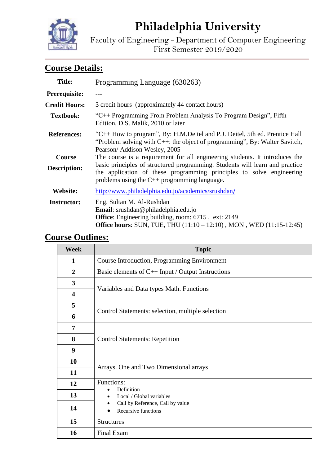# **Philadelphia University**

Faculty of Engineering - Department of Computer Engineering First Semester 2019/2020

# **Course Details:**

| <b>Title:</b>        | Programming Language (630263)                                                                                                                                                                                |  |
|----------------------|--------------------------------------------------------------------------------------------------------------------------------------------------------------------------------------------------------------|--|
| Prerequisite:        |                                                                                                                                                                                                              |  |
| <b>Credit Hours:</b> | 3 credit hours (approximately 44 contact hours)                                                                                                                                                              |  |
| <b>Textbook:</b>     | "C++ Programming From Problem Analysis To Program Design", Fifth<br>Edition, D.S. Malik, 2010 or later                                                                                                       |  |
| <b>References:</b>   | "C++ How to program", By: H.M.Deitel and P.J. Deitel, 5th ed. Prentice Hall<br>"Problem solving with $C++$ : the object of programming", By: Walter Savitch,<br>Pearson/ Addison Wesley, 2005                |  |
| Course               | The course is a requirement for all engineering students. It introduces the                                                                                                                                  |  |
| <b>Description:</b>  | basic principles of structured programming. Students will learn and practice<br>the application of these programming principles to solve engineering<br>problems using the $C_{++}$ programming language.    |  |
| Website:             | http://www.philadelphia.edu.jo/academics/srushdan/                                                                                                                                                           |  |
| <b>Instructor:</b>   | Eng. Sultan M. Al-Rushdan<br>Email: srushdan@philadelphia.edu.jo<br><b>Office:</b> Engineering building, room: 6715, ext: 2149<br><b>Office hours:</b> SUN, TUE, THU (11:10 – 12:10), MON, WED (11:15-12:45) |  |

## **Course Outlines:**

| <b>Week</b>             | <b>Topic</b>                                            |  |
|-------------------------|---------------------------------------------------------|--|
| $\mathbf{1}$            | Course Introduction, Programming Environment            |  |
| $\overline{2}$          | Basic elements of $C++$ Input / Output Instructions     |  |
| 3                       | Variables and Data types Math. Functions                |  |
| $\overline{\mathbf{4}}$ |                                                         |  |
| 5                       | Control Statements: selection, multiple selection       |  |
| 6                       |                                                         |  |
| 7                       | <b>Control Statements: Repetition</b>                   |  |
| 8                       |                                                         |  |
| 9                       |                                                         |  |
| 10                      |                                                         |  |
| 11                      | Arrays. One and Two Dimensional arrays                  |  |
| 12                      | Functions:<br>Definition                                |  |
| 13                      | Local / Global variables                                |  |
| 14                      | Call by Reference, Call by value<br>Recursive functions |  |
| 15                      | <b>Structures</b>                                       |  |
| 16                      | Final Exam                                              |  |